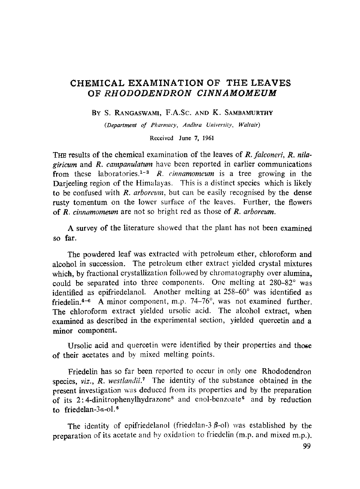# **CHEMICAL EXAMINATION OF THE LEAVES**  OF *RHODODENDRON CINNAMOMEUM*

BY S. RANGASWAMI, F.A.Sc. AND K. SAMBAMURTHY

(Department of Pharmacy, Andhra University, Waltair)

Received June 7, 1961

THE results of the chemical examination of the leaves of *R. falconeri, R. nilagirieum* and *R. campanulatum* have been reported in earlier communications from these laboratories.<sup>1-3</sup> R. *cinnamomeum* is a tree growing in the Darjeeling region of the Himalayas. This is a distinct species which is likely to be confused with *R. arboreum,* but can be easily recognised by the dense rusty tomentum on the lower surface of the leaves. Further, the flowers of *R. cinnamomeum* are not so bright red as those of *R. arboreum.* 

A survey of the literature showed that the plant has not been examined so far.

The powdered leaf was extracted with petroleum ether, chloroform and alcohol in succession. The petroleum ether extract yielded crystal mixtures which, by fractional crystallization followed by chromatography over alumina, could be separated into three components. One melting at 280-82° was identified as epifriedelanol. Another melting at 258-60° was identified as friedelin. $4-6$  A minor component, m.p. 74-76°, was not examined further. The chloroform extract yielded ursolic acid. The alcohol extract, when examined as described in the experimental section, yielded quercetin and a minor eomponent.

Ursolic acid and quercetin were identified by their properties and those of their acetates and by mixed melting points.

Friedelin has so far been reported to occur in only one Rhododendron species, *viz.*, *R. westlandii.*<sup>7</sup> The identity of the substance obtained in the present investigation was deduced from its properties and by the preparation of its 2:4-dinitrophenylhydrazone<sup>8</sup> and enol-benzoate<sup>6</sup> and by reduction to friedelan-3a-ol.8

The identity of epifriedelanol (friedelan-3  $\beta$ -ol) was established by the preparation of its acetate and by oxidation to friedelin (m.p. and mixed m.p.).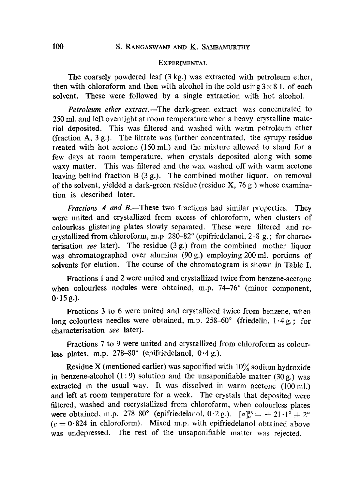### **EXPERIMENTAL**

The coarsely powdered leaf (3 kg.) was extracted with petroleum ether, then with chloroform and then with alcohol in the cold using  $3 \times 8$  1. of each solvent. These were followed by a single extraction with hot alcohol.

*Petroleum ether extract.*—The dark-green extract was concentrated to 250 mi. and left overnight at room temperature when a heavy crystalline material deposited. This was filtered and washed with warm petroleum ether (fraction A, 3 g.). The filtrate was further concentrated, the syrupy residue treated with hot acetone (150 mi.) and the mixture allowed to stand for a few days at room temperature, when crystals deposited along with some waxy matter. This was filtered and the wax washed off with warm acetone leaving behind fraction B (3 g.). The combined mother liquor, on removal of the solvent, yielded a dark-green residue (residue  $X$ , 76 g.) whose examination is described later.

*Fractions A and B*.—These two fractions had similar properties. They were united and crystallized from excess of chloroform, when clusters of colourless glistening plates slowly separated. These were filtered and recrystallized from chloroform, m.p. 280–82 $^{\circ}$  (epifriedelanol, 2 $\cdot$ 8 g.; for characterisation *see* later). The residue (3 g.) from the combined mother liquor was chromatographed over alumina (90 g.) employing 200 ml. portions of solvents for elution. The course of the chromatogram is shown in Table I.

Fractions 1 and 2 were united and crystallized twice from benzene-acetone when colourless nodules were obtained, m.p. 74-76° (minor component,  $0.15 g.$ ).

Fractions 3 to 6 were united and crystallized twice from benzene, when long colourless needles were obtained, m.p. 258-60 $^{\circ}$  (friedelin, 1.4g.; for characterisation *see* later).

Fractions 7 to 9 were united and crystallized from chloroform as colourless plates, m.p.  $278-80^{\circ}$  (epifriedelanol,  $0.4 g$ .).

Residue X (mentioned earlier) was saponified with  $10\%$  sodium hydroxide in benzene-alcohol (1:9) solution and the unsaponifiable matter (30 g.) was extracted in the usual way. It was dissolved in warm acetone  $(100 \text{ ml.})$ and left at room temperature for a week. The crystals that deposited were filtered, washed and recrystallized from chloroform, when colourless plates were obtained, m.p. 278-80° (epifriedelanol,  $0.2 g$ .).  $[a]_p^{28} = +21.1^\circ + 2^\circ$  $(c = 0.824$  in chloroform). Mixed m.p. with epifriedelanol obtained above was undepressed. The rest of the unsaponifiable matter was rejected.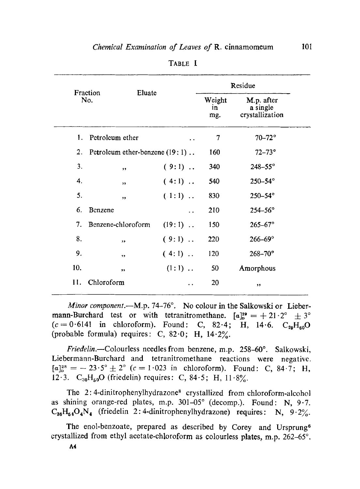|                 |                                    | Eluate    |                     | Residue                                   |  |
|-----------------|------------------------------------|-----------|---------------------|-------------------------------------------|--|
| Fraction<br>No. |                                    |           | Weight<br>in<br>mg. | M.p. after<br>a single<br>crystallization |  |
| $\mathbf{1}$ .  | Petroleum ether                    |           | 7                   | $70 - 72^{\circ}$                         |  |
| 2.              | Petroleum ether-benzene $(19:1)$ . |           | 160                 | $72 - 73^\circ$                           |  |
| 3.              | $, \,$                             | $(9:1)$   | 340                 | $248 - 55^{\circ}$                        |  |
| 4.              | ,                                  | $(4:1)$   | 540                 | 250-54°                                   |  |
| 5.              | ,,                                 | $(1:1)$ . | 830                 | $250 - 54^\circ$                          |  |
| 6.              | Benzene                            |           | 210                 | $254 - 56^{\circ}$                        |  |
| 7 <sup>1</sup>  | Benzene-chloroform                 | $(19:1)$  | 150                 | $265 - 67^{\circ}$                        |  |
| 8.              | ,                                  | $(9:1)$   | 220                 | $266 - 69^{\circ}$                        |  |
| 9.              | ,,                                 | $(4:1)$   | 120                 | $268 - 70^{\circ}$                        |  |
| 10.             | ,,                                 | $(1:1)$ . | 50                  | Amorphous                                 |  |
| 11.             | Chloroform                         |           | 20                  | ,,                                        |  |

TABLE I

*Minor component.*—M.p. 74-76°. No colour in the Salkowski or Liebermann-Burchard test or with tetranitromethane.  $[a]_p^{29} = +21.2^{\circ} \pm 3^{\circ}$  $(c=0.6141$  in chloroform). Found: C, 82.4; H, 14.6.  $C_{29}H_{60}O$ (probable formula) requires: C, 82.0; H, 14.2%.

*Friedelin.*—Colourless needles from benzene, m.p. 258–60°. Salkowski, Liebermann-Burchard and tetranitromethane reactions were negativc.  $[a]_{p}^{28} = -23.5^{\circ} \pm 2^{\circ}$  (c = 1.023 in chloroform). Found: C, 84.7; H, 12.3.  $C_{30}H_{50}O$  (friedelin) requires: C, 84.5; H, 11.8%.

The 2:4-dinitrophenylhydrazone<sup>8</sup> crystallized from chloroform-alcohol as shining orange-red plates, m.p.  $301-05^\circ$  (decomp.). Found: N, 9.7.  $C_{38}H_{54}O_4N_4$  (friedelin 2:4-dinitrophenylhydrazone) requires: N, 9.2%.

The enol-benzoate, prepared as described by Corey and Ursprung<sup>6</sup> crystallized from ethyl acetate-chloroform as colourless plates, m.p. 262-65°.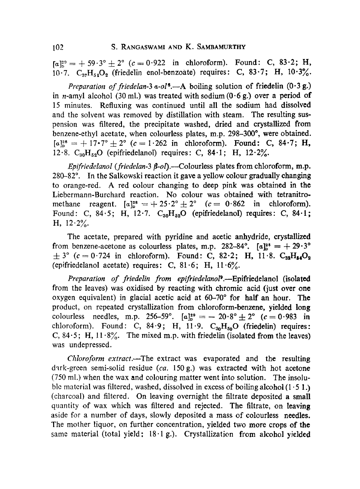$[a]_{b}^{29} = +59.3^{\circ} \pm 2^{\circ}$  (c = 0.922 in chloroform). Found: C, 83.2; H, 10.7.  $C_{37}H_{54}O_2$  (friedelin enol-benzoate) requires: C, 83.7; H, 10.3%.

*Preparation of friedelan-3 a-ol<sup>6</sup>.*—A boiling solution of friedelin  $(0.3 g.)$ in *n*-amyl alcohol (30 ml.) was treated with sodium  $(0.6 g)$  over a period of 15 minutes. Rcfluxing was eontinucd until all the sodium had dissolvcd and the solvent was removed by distillation with steam. The resulting suspcnsion was filtcred, the precipitate washed, dried and crystallized from benzene-cthyl acctate, when colourless plates, m.p.  $298-300^{\circ}$ , were obtained.  $[a]_{p}^{28} = +17.7^{\circ} \pm 2^{\circ}$  (c = 1.262 in chloroform). Found: C, 84.7; H, 12.8.  $C_{30}H_{52}O$  (epifriedelanol) requires: C, 84.1; H, 12.2%.

*Epifriedelanol (friedelan-3*  $\beta$ *-ol*).—Colourless plates from chloroform, m.p.  $280-82^\circ$ . In the Salkowski reaction it gave a yellow colour gradually changing to orange-red. A red colour changing to deep pink was obtained in the Licbermann-Burchard reaction. No colour was obtained with tetranitromethane reagent.  $[a]_{p}^{28} = +25.2^{\circ} \pm 2^{\circ}$   $(c = 0.862 \text{ in chloroform}).$ Found: C, 84.5; H, 12.7.  $C_{30}H_{52}O$  (epifriedelanol) requires: C, 84.1; H,  $12.2\%$ .

The acetate, prepared with pyridine and acetic anhydride, crystallized from benzene-acetone as colourless plates, m.p. 282-84°.  $[a]_{\circ}^{28} = +29.3^{\circ}$  $\pm$  3° (c = 0.724 in chloroform). Found: C, 82.2; H, 11.8.  $C_{32}H_{54}O_2$ (epifriedelanol acetate) requires: C,  $81.6$ ; H,  $11.6\%$ .

Preparation of friedelin from epifriedelanol<sup>9</sup>.--Epifriedelanol (isolated from the leaves) was oxidised by reacting with chromic acid (just over one oxygen equivalent) in glacial acetic acid at  $60-70^\circ$  for half an hour. The product, on repeated crystallization from chloroform-benzene, yielded long colourless needles, m.p. 256-59°.  $[a]_{b}^{29} = -20.8$ ° $\pm$  2° (c = 0.983 in chloroform). Found: C, 84.9; H, 11.9.  $C_{30}H_{50}O$  (friedelin) requires: C, 84.5; H,  $11.8\%$ . The mixed m.p. with friedelin (isolated from the leaves) was undepressed.

*Chloroform extract.--The* extract was evaporated and the resulting dark-green semi-solid residue *(ca.* 150g.) was extracted with hot acetone  $(750 \text{ ml.})$  when the wax and colouring matter went into solution. The insoluble material was filtered, washed, dissolved in excess of boiling alcohol  $(1 \cdot 5 \cdot 1)$ (charcoal) and filtered. On leaving overnight the filtrate deposited a small quantity of wax which was filtered and rejected. The filtrate, on leaving aside for a number of days, slowly deposited a mass of colourless needles. The mother liquor, on further concentration, yielded two more crops of the same material (total yield: 18.1 g.). Crystallization from alcohol yielded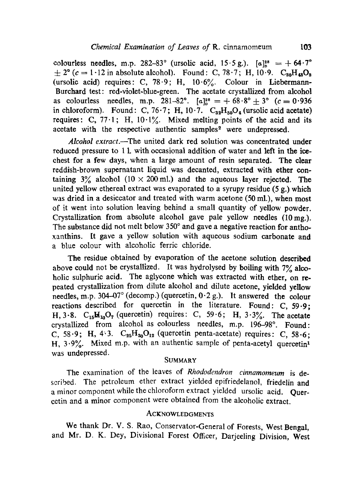colourless needles, m.p. 282-83° (ursolic acid,  $15.5 g$ .).  $[a]_n^{28} = + 64.7^\circ$  $\pm 2^{\circ}$  (c = 1.12 in absolute alcohol). Found: C, 78.7; H, 10.9. C<sub>so</sub>H<sub>48</sub>O<sub>s</sub> (ursolic acid) requires: C, 78.9; H,  $10.6\%$ . Colour in Liebermann-Burchard test: red-violet-blue-green. The acetate crystallized from alcohol as colourless needles, m.p. 281-82°.  $[a]_{p}^{28} = +68.8^{\circ} \pm 3^{\circ}$  (c = 0.936 in chloroform). Found: C, 76.7; H, 10.7.  $C_{32}H_{50}O_4$  (ursolic acid acetate) requires: C,  $77.1$ ; H,  $10.1\%$ . Mixed melting points of the acid and its acetate with the respective authentic samples<sup>2</sup> were undepressed.

Alcohol extract.--The united dark red solution was concentrated under reduced pressure to 1 1. with occasional addition of water and left in the icechest for a few days, when a large amount of resin separated. The clear reddish-brown supernatant liquid was decanted, extracted with ether containing  $3\%$  alcohol (10 × 200 ml.) and the aqueous layer rejected. The united yellow ethereal extract was evaporated to a syrupy residue (5 g.) which was dried in a desiccator and treated with warm acetone (50 ml.), when most of it went into solution leaving behind a small quantity of yellow powder. Crystallization from absolute alcohol gave pale yellow needles  $(10 \text{ mg.})$ . The substance did not melt below 350° and gave a negative reaction for anthoxanthins. It gave a yellow solution with aqueous sodium carbonate and a blue cotour with alcoholic ferric chloride.

The residue obtained by evaporation of the acetone solution described above could not be crystallized. It was hydrolysed by boiling with  $7\%$  alcoholic sulphuric acid. The aglycone which was extracted with ether, on repeated crystallization from dilute alcohol and dilute acetone, yielded yellow needles, m.p. 304-07 $^{\circ}$  (decomp.) (quercetin, 0.2 g.). It answered the colour reactions described for quercetin in the literature. Found: C, 59.9; H, 3.8.  $C_{15}M_{10}O_7$  (quercetin) requires: C, 59.6; H, 3.3%. The acetate crystallized from alcohol as colourless needles, m.p. 196-98°. Found: C, 58.9; H, 4.3.  $C_{25}H_{20}O_{12}$  (quercetin penta-acetate) requires: C, 58.6; H,  $3.9\%$ . Mixed m.p. with an authentic sample of penta-acetyl quercetin<sup>1</sup> was undepressed.

## **SUMMARY**

The examination of the leaves of *Rhododendron cinnamomeum* is described. The petroleum ether extract yielded epifriedelanol, friedelin and a minor component while the chloroform extract yielded ursolic acid. Ouercetin and a minor component were obtained from the alcoholic extract.

#### ACKNOWLEDGMENTS

We thank Dr. V. S. Rao, Conservator-General of Forests, West Bengal, and Mr. D. K. Dey, Divisional Forest Officer, Darjeeling Division, West